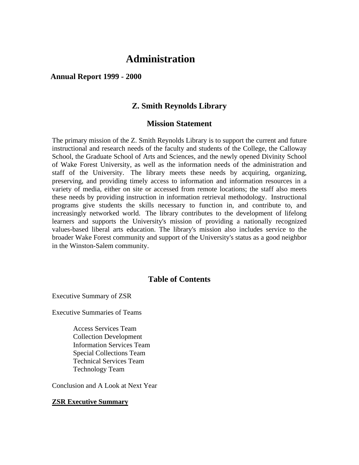## **Administration**

#### **Annual Report 1999 - 2000**

#### **Z. Smith Reynolds Library**

#### **Mission Statement**

The primary mission of the Z. Smith Reynolds Library is to support the current and future instructional and research needs of the faculty and students of the College, the Calloway School, the Graduate School of Arts and Sciences, and the newly opened Divinity School of Wake Forest University, as well as the information needs of the administration and staff of the University. The library meets these needs by acquiring, organizing, preserving, and providing timely access to information and information resources in a variety of media, either on site or accessed from remote locations; the staff also meets these needs by providing instruction in information retrieval methodology. Instructional programs give students the skills necessary to function in, and contribute to, and increasingly networked world. The library contributes to the development of lifelong learners and supports the University's mission of providing a nationally recognized values-based liberal arts education. The library's mission also includes service to the broader Wake Forest community and support of the University's status as a good neighbor in the Winston-Salem community.

#### **Table of Contents**

Executive Summary of ZSR

Executive Summaries of Teams

Access Services Team Collection Development Information Services Team Special Collections Team Technical Services Team Technology Team

Conclusion and A Look at Next Year

#### **ZSR Executive Summary**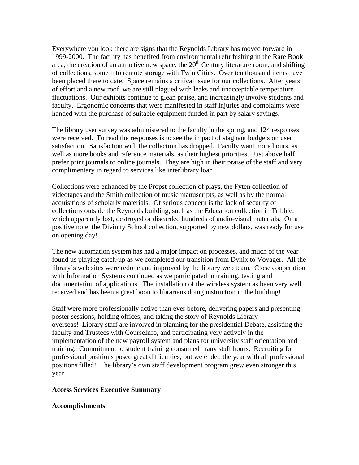Everywhere you look there are signs that the Reynolds Library has moved forward in 1999-2000. The facility has benefited from environmental refurbishing in the Rare Book area, the creation of an attractive new space, the  $20<sup>th</sup>$  Century literature room, and shifting of collections, some into remote storage with Twin Cities. Over ten thousand items have been placed there to date. Space remains a critical issue for our collections. After years of effort and a new roof, we are still plagued with leaks and unacceptable temperature fluctuations. Our exhibits continue to glean praise, and increasingly involve students and faculty. Ergonomic concerns that were manifested in staff injuries and complaints were handed with the purchase of suitable equipment funded in part by salary savings.

The library user survey was administered to the faculty in the spring, and 124 responses were received. To read the responses is to see the impact of stagnant budgets on user satisfaction. Satisfaction with the collection has dropped. Faculty want more hours, as well as more books and reference materials, as their highest priorities. Just above half prefer print journals to online journals. They are high in their praise of the staff and very complimentary in regard to services like interlibrary loan.

Collections were enhanced by the Propst collection of plays, the Fyten collection of videotapes and the Smith collection of music manuscripts, as well as by the normal acquisitions of scholarly materials. Of serious concern is the lack of security of collections outside the Reynolds building, such as the Education collection in Tribble, which apparently lost, destroyed or discarded hundreds of audio-visual materials. On a positive note, the Divinity School collection, supported by new dollars, was ready for use on opening day!

The new automation system has had a major impact on processes, and much of the year found us playing catch-up as we completed our transition from Dynix to Voyager. All the library's web sites were redone and improved by the library web team. Close cooperation with Information Systems continued as we participated in training, testing and documentation of applications. The installation of the wireless system as been very well received and has been a great boon to librarians doing instruction in the building!

Staff were more professionally active than ever before, delivering papers and presenting poster sessions, holding offices, and taking the story of Reynolds Library overseas! Library staff are involved in planning for the presidential Debate, assisting the faculty and Trustees with CourseInfo, and participating very actively in the implementation of the new payroll system and plans for university staff orientation and training. Commitment to student training consumed many staff hours. Recruiting for professional positions posed great difficulties, but we ended the year with all professional positions filled! The library's own staff development program grew even stronger this year.

#### **Access Services Executive Summary**

#### **Accomplishments**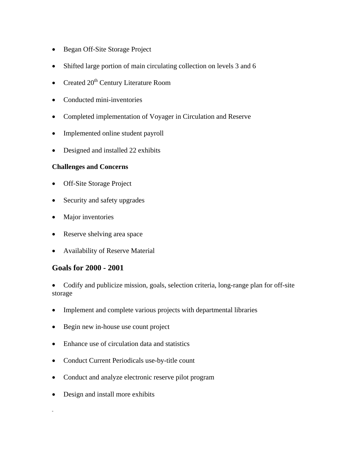- Began Off-Site Storage Project
- Shifted large portion of main circulating collection on levels 3 and 6
- Created  $20<sup>th</sup>$  Century Literature Room
- Conducted mini-inventories
- Completed implementation of Voyager in Circulation and Reserve
- Implemented online student payroll
- Designed and installed 22 exhibits

#### **Challenges and Concerns**

- **Off-Site Storage Project**
- Security and safety upgrades
- Major inventories
- Reserve shelving area space
- Availability of Reserve Material

### **Goals for 2000 - 2001**

• Codify and publicize mission, goals, selection criteria, long-range plan for off-site storage

- Implement and complete various projects with departmental libraries
- Begin new in-house use count project
- Enhance use of circulation data and statistics
- Conduct Current Periodicals use-by-title count
- Conduct and analyze electronic reserve pilot program
- Design and install more exhibits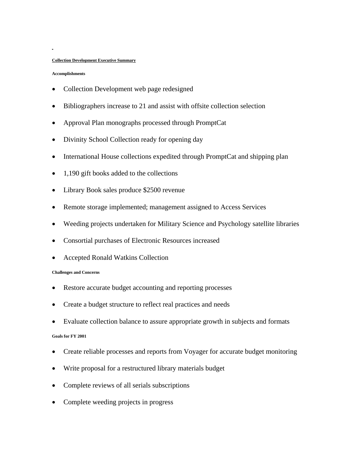#### **Collection Development Executive Summary**

#### **Accomplishments**

- Collection Development web page redesigned
- Bibliographers increase to 21 and assist with offsite collection selection
- Approval Plan monographs processed through PromptCat
- Divinity School Collection ready for opening day
- International House collections expedited through PromptCat and shipping plan
- 1,190 gift books added to the collections
- Library Book sales produce \$2500 revenue
- Remote storage implemented; management assigned to Access Services
- Weeding projects undertaken for Military Science and Psychology satellite libraries
- Consortial purchases of Electronic Resources increased
- Accepted Ronald Watkins Collection

#### **Challenges and Concerns**

- Restore accurate budget accounting and reporting processes
- Create a budget structure to reflect real practices and needs
- Evaluate collection balance to assure appropriate growth in subjects and formats **Goals for FY 2001**
- Create reliable processes and reports from Voyager for accurate budget monitoring
- Write proposal for a restructured library materials budget
- Complete reviews of all serials subscriptions
- Complete weeding projects in progress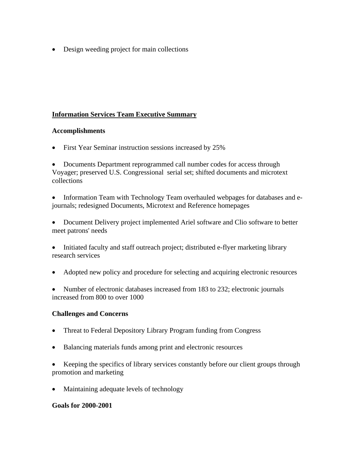• Design weeding project for main collections

### **Information Services Team Executive Summary**

#### **Accomplishments**

• First Year Seminar instruction sessions increased by 25%

• Documents Department reprogrammed call number codes for access through Voyager; preserved U.S. Congressional serial set; shifted documents and microtext collections

• Information Team with Technology Team overhauled webpages for databases and ejournals; redesigned Documents, Microtext and Reference homepages

• Document Delivery project implemented Ariel software and Clio software to better meet patrons' needs

• Initiated faculty and staff outreach project; distributed e-flyer marketing library research services

• Adopted new policy and procedure for selecting and acquiring electronic resources

• Number of electronic databases increased from 183 to 232; electronic journals increased from 800 to over 1000

#### **Challenges and Concerns**

- Threat to Federal Depository Library Program funding from Congress
- Balancing materials funds among print and electronic resources

• Keeping the specifics of library services constantly before our client groups through promotion and marketing

• Maintaining adequate levels of technology

#### **Goals for 2000-2001**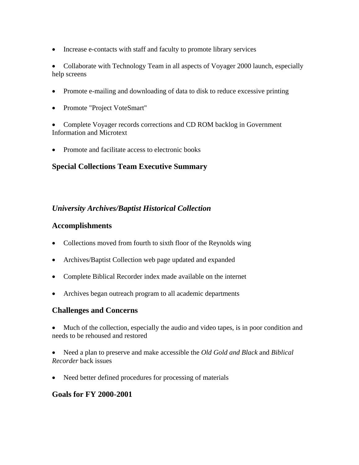• Increase e-contacts with staff and faculty to promote library services

• Collaborate with Technology Team in all aspects of Voyager 2000 launch, especially help screens

- Promote e-mailing and downloading of data to disk to reduce excessive printing
- Promote "Project VoteSmart"

• Complete Voyager records corrections and CD ROM backlog in Government Information and Microtext

• Promote and facilitate access to electronic books

## **Special Collections Team Executive Summary**

## *University Archives/Baptist Historical Collection*

## **Accomplishments**

- Collections moved from fourth to sixth floor of the Reynolds wing
- Archives/Baptist Collection web page updated and expanded
- Complete Biblical Recorder index made available on the internet
- Archives began outreach program to all academic departments

### **Challenges and Concerns**

- Much of the collection, especially the audio and video tapes, is in poor condition and needs to be rehoused and restored
- Need a plan to preserve and make accessible the *Old Gold and Black* and *Biblical Recorder* back issues
- Need better defined procedures for processing of materials

## **Goals for FY 2000-2001**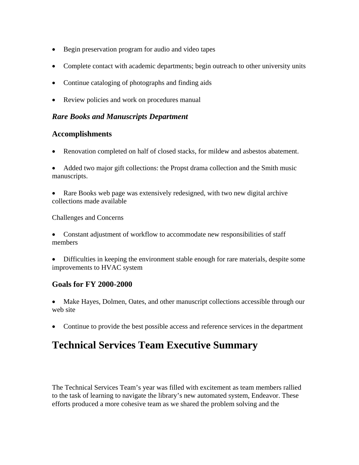- Begin preservation program for audio and video tapes
- Complete contact with academic departments; begin outreach to other university units
- Continue cataloging of photographs and finding aids
- Review policies and work on procedures manual

### *Rare Books and Manuscripts Department*

### **Accomplishments**

- Renovation completed on half of closed stacks, for mildew and asbestos abatement.
- Added two major gift collections: the Propst drama collection and the Smith music manuscripts.
- Rare Books web page was extensively redesigned, with two new digital archive collections made available

#### Challenges and Concerns

- Constant adjustment of workflow to accommodate new responsibilities of staff members
- Difficulties in keeping the environment stable enough for rare materials, despite some improvements to HVAC system

### **Goals for FY 2000-2000**

- Make Hayes, Dolmen, Oates, and other manuscript collections accessible through our web site
- Continue to provide the best possible access and reference services in the department

# **Technical Services Team Executive Summary**

The Technical Services Team's year was filled with excitement as team members rallied to the task of learning to navigate the library's new automated system, Endeavor. These efforts produced a more cohesive team as we shared the problem solving and the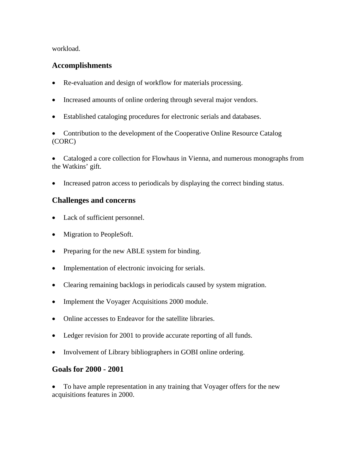workload.

### **Accomplishments**

- Re-evaluation and design of workflow for materials processing.
- Increased amounts of online ordering through several major vendors.
- Established cataloging procedures for electronic serials and databases.
- Contribution to the development of the Cooperative Online Resource Catalog (CORC)

• Cataloged a core collection for Flowhaus in Vienna, and numerous monographs from the Watkins' gift.

• Increased patron access to periodicals by displaying the correct binding status.

## **Challenges and concerns**

- Lack of sufficient personnel.
- Migration to PeopleSoft.
- Preparing for the new ABLE system for binding.
- Implementation of electronic invoicing for serials.
- Clearing remaining backlogs in periodicals caused by system migration.
- Implement the Voyager Acquisitions 2000 module.
- Online accesses to Endeavor for the satellite libraries.
- Ledger revision for 2001 to provide accurate reporting of all funds.
- Involvement of Library bibliographers in GOBI online ordering.

### **Goals for 2000 - 2001**

• To have ample representation in any training that Voyager offers for the new acquisitions features in 2000.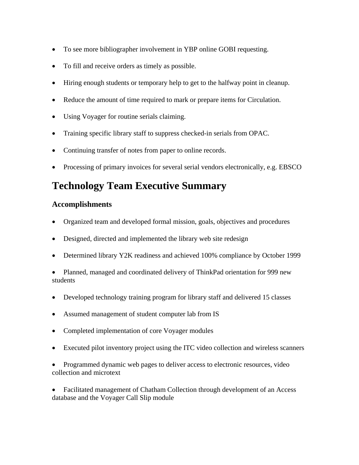- To see more bibliographer involvement in YBP online GOBI requesting.
- To fill and receive orders as timely as possible.
- Hiring enough students or temporary help to get to the halfway point in cleanup.
- Reduce the amount of time required to mark or prepare items for Circulation.
- Using Voyager for routine serials claiming.
- Training specific library staff to suppress checked-in serials from OPAC.
- Continuing transfer of notes from paper to online records.
- Processing of primary invoices for several serial vendors electronically, e.g. EBSCO

# **Technology Team Executive Summary**

### **Accomplishments**

- Organized team and developed formal mission, goals, objectives and procedures
- Designed, directed and implemented the library web site redesign
- Determined library Y2K readiness and achieved 100% compliance by October 1999
- Planned, managed and coordinated delivery of ThinkPad orientation for 999 new students
- Developed technology training program for library staff and delivered 15 classes
- Assumed management of student computer lab from IS
- Completed implementation of core Voyager modules
- Executed pilot inventory project using the ITC video collection and wireless scanners
- Programmed dynamic web pages to deliver access to electronic resources, video collection and microtext

• Facilitated management of Chatham Collection through development of an Access database and the Voyager Call Slip module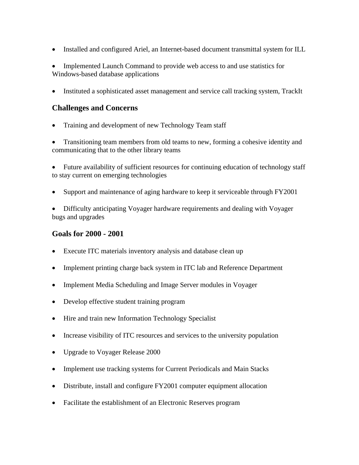• Installed and configured Ariel, an Internet-based document transmittal system for ILL

• Implemented Launch Command to provide web access to and use statistics for Windows-based database applications

• Instituted a sophisticated asset management and service call tracking system, TrackIt

#### **Challenges and Concerns**

• Training and development of new Technology Team staff

• Transitioning team members from old teams to new, forming a cohesive identity and communicating that to the other library teams

• Future availability of sufficient resources for continuing education of technology staff to stay current on emerging technologies

• Support and maintenance of aging hardware to keep it serviceable through FY2001

• Difficulty anticipating Voyager hardware requirements and dealing with Voyager bugs and upgrades

#### **Goals for 2000 - 2001**

- Execute ITC materials inventory analysis and database clean up
- Implement printing charge back system in ITC lab and Reference Department
- Implement Media Scheduling and Image Server modules in Voyager
- Develop effective student training program
- Hire and train new Information Technology Specialist
- Increase visibility of ITC resources and services to the university population
- Upgrade to Voyager Release 2000
- Implement use tracking systems for Current Periodicals and Main Stacks
- Distribute, install and configure FY2001 computer equipment allocation
- Facilitate the establishment of an Electronic Reserves program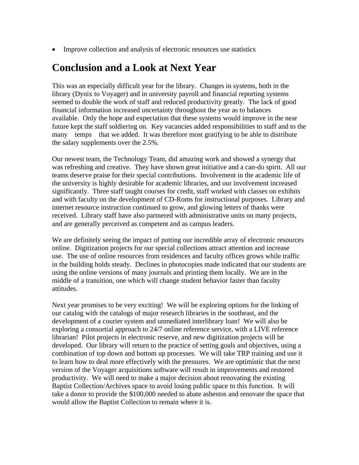• Improve collection and analysis of electronic resources use statistics

# **Conclusion and a Look at Next Year**

This was an especially difficult year for the library. Changes in systems, both in the library (Dynix to Voyager) and in university payroll and financial reporting systems seemed to double the work of staff and reduced productivity greatly. The lack of good financial information increased uncertainty throughout the year as to balances available. Only the hope and expectation that these systems would improve in the near future kept the staff soldiering on. Key vacancies added responsibilities to staff and to the many temps that we added. It was therefore most gratifying to be able to distribute the salary supplements over the 2.5%.

Our newest team, the Technology Team, did amazing work and showed a synergy that was refreshing and creative. They have shown great initiative and a can-do spirit. All our teams deserve praise for their special contributions. Involvement in the academic life of the university is highly desirable for academic libraries, and our involvement increased significantly. Three staff taught courses for credit, staff worked with classes on exhibits and with faculty on the development of CD-Roms for instructional purposes. Library and internet resource instruction continued to grow, and glowing letters of thanks were received. Library staff have also partnered with administrative units on many projects, and are generally perceived as competent and as campus leaders.

We are definitely seeing the impact of putting our incredible array of electronic resources online. Digitization projects for our special collections attract attention and increase use. The use of online resources from residences and faculty offices grows while traffic in the building holds steady. Declines in photocopies made indicated that our students are using the online versions of many journals and printing them locally. We are in the middle of a transition, one which will change student behavior faster than faculty attitudes.

Next year promises to be very exciting! We will be exploring options for the linking of our catalog with the catalogs of major research libraries in the southeast, and the development of a courier system and unmediated interlibrary loan! We will also be exploring a consortial approach to 24/7 online reference service, with a LIVE reference librarian! Pilot projects in electronic reserve, and new digitization projects will be developed. Our library will return to the practice of setting goals and objectives, using a combination of top down and bottom up processes. We will take TRP training and use it to learn how to deal more effectively with the pressures. We are optimistic that the next version of the Voyager acquisitions software will result in improvements and restored productivity. We will need to make a major decision about renovating the existing Baptist Collection/Archives space to avoid losing public space to this function. It will take a donor to provide the \$100,000 needed to abate asbestos and renovate the space that would allow the Baptist Collection to remain where it is.